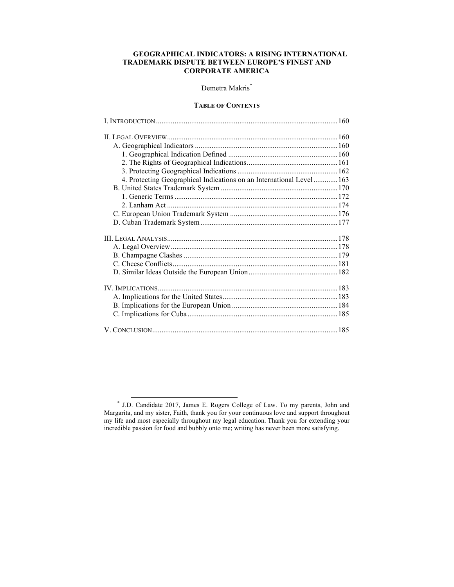# **GEOGRAPHICAL INDICATORS: A RISING INTERNATIONAL TRADEMARK DISPUTE BETWEEN EUROPE'S FINEST AND CORPORATE AMERICA**

# Demetra Makris<sup>\*</sup>

### **TABLE OF CONTENTS**

| 4. Protecting Geographical Indications on an International Level  163 |  |
|-----------------------------------------------------------------------|--|
|                                                                       |  |
|                                                                       |  |
|                                                                       |  |
|                                                                       |  |
|                                                                       |  |
|                                                                       |  |
|                                                                       |  |
|                                                                       |  |
|                                                                       |  |
|                                                                       |  |
|                                                                       |  |
|                                                                       |  |
|                                                                       |  |
|                                                                       |  |
|                                                                       |  |

<sup>\*</sup> J.D. Candidate 2017, James E. Rogers College of Law. To my parents, John and Margarita, and my sister, Faith, thank you for your continuous love and support throughout my life and most especially throughout my legal education. Thank you for extending your incredible passion for food and bubbly onto me; writing has never been more satisfying.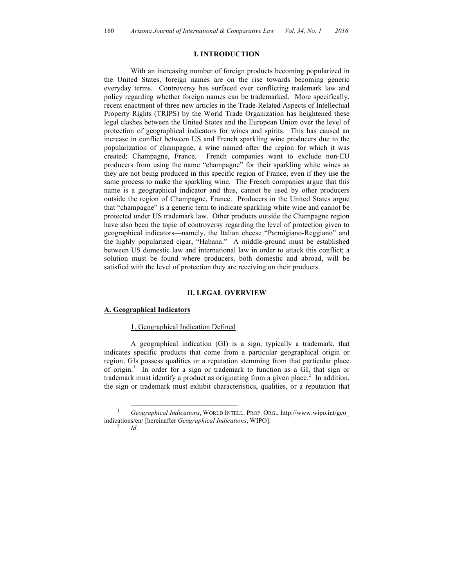## **I. INTRODUCTION**

With an increasing number of foreign products becoming popularized in the United States, foreign names are on the rise towards becoming generic everyday terms. Controversy has surfaced over conflicting trademark law and policy regarding whether foreign names can be trademarked. More specifically, recent enactment of three new articles in the Trade-Related Aspects of Intellectual Property Rights (TRIPS) by the World Trade Organization has heightened these legal clashes between the United States and the European Union over the level of protection of geographical indicators for wines and spirits. This has caused an increase in conflict between US and French sparkling wine producers due to the popularization of champagne, a wine named after the region for which it was created: Champagne, France. French companies want to exclude non-EU producers from using the name "champagne" for their sparkling white wines as they are not being produced in this specific region of France, even if they use the same process to make the sparkling wine. The French companies argue that this name is a geographical indicator and thus, cannot be used by other producers outside the region of Champagne, France. Producers in the United States argue that "champagne" is a generic term to indicate sparkling white wine and cannot be protected under US trademark law. Other products outside the Champagne region have also been the topic of controversy regarding the level of protection given to geographical indicators—namely, the Italian cheese "Parmigiano-Reggiano" and the highly popularized cigar, "Habana." A middle-ground must be established between US domestic law and international law in order to attack this conflict; a solution must be found where producers, both domestic and abroad, will be satisfied with the level of protection they are receiving on their products.

# **II. LEGAL OVERVIEW**

### **A. Geographical Indicators**

### 1. Geographical Indication Defined

A geographical indication (GI) is a sign, typically a trademark, that indicates specific products that come from a particular geographical origin or region; GIs possess qualities or a reputation stemming from that particular place of origin.<sup>1</sup> In order for a sign or trademark to function as a GI, that sign or trademark must identify a product as originating from a given place.<sup>2</sup> In addition, the sign or trademark must exhibit characteristics, qualities, or a reputation that

 <sup>1</sup> *Geographical Indications*, WORLD INTELL. PROP. ORG., http://www.wipo.int/geo\_ indications/en/ [hereinafter *Geographical Indications*, WIPO]. <sup>2</sup> *Id*.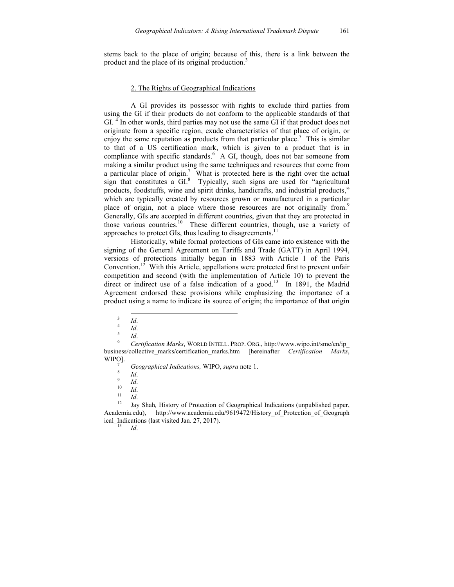stems back to the place of origin; because of this, there is a link between the product and the place of its original production.<sup>3</sup>

#### 2. The Rights of Geographical Indications

A GI provides its possessor with rights to exclude third parties from using the GI if their products do not conform to the applicable standards of that  $GI.$ <sup>4</sup> In other words, third parties may not use the same  $GI$  if that product does not originate from a specific region, exude characteristics of that place of origin, or enjoy the same reputation as products from that particular place.<sup>5</sup> This is similar to that of a US certification mark, which is given to a product that is in compliance with specific standards.<sup>6</sup> A GI, though, does not bar someone from making a similar product using the same techniques and resources that come from a particular place of origin.<sup>7</sup> What is protected here is the right over the actual sign that constitutes a GI. 8 Typically, such signs are used for "agricultural products, foodstuffs, wine and spirit drinks, handicrafts, and industrial products," which are typically created by resources grown or manufactured in a particular place of origin, not a place where those resources are not originally from.<sup>9</sup> Generally, GIs are accepted in different countries, given that they are protected in those various countries.<sup>10</sup> These different countries, though, use a variety of approaches to protect GIs, thus leading to disagreements.<sup>11</sup>

Historically, while formal protections of GIs came into existence with the signing of the General Agreement on Tariffs and Trade (GATT) in April 1994, versions of protections initially began in 1883 with Article 1 of the Paris Convention.<sup>12</sup> With this Article, appellations were protected first to prevent unfair competition and second (with the implementation of Article 10) to prevent the direct or indirect use of a false indication of a good.<sup>13</sup> In 1891, the Madrid Agreement endorsed these provisions while emphasizing the importance of a product using a name to indicate its source of origin; the importance of that origin

<sup>&</sup>lt;sup>3</sup> *Id.*<br><sup>4</sup> *Id.*<br><sup>5</sup> *Id. Certification Marks*, WORLD INTELL. PROP. ORG., http://www.wipo.int/sme/en/ip business/collective\_marks/certification\_marks.htm [hereinafter *Certification Marks*,

*Geographical Indications, WIPO, <i>supra* note 1.<br>
<sup>9</sup> *Id.*<br>
<sup>10</sup> *Id.*<br>
<sup>11</sup> *Id.*<br>
<sup>12</sup> Jay Shah, History of Protection of Geographical Indications (unpublished paper, Academia.edu), http://www.academia.edu/9619472/History of Protection of Geograph ical\_Indications (last visited Jan. 27, 2017).<br> $Id$ .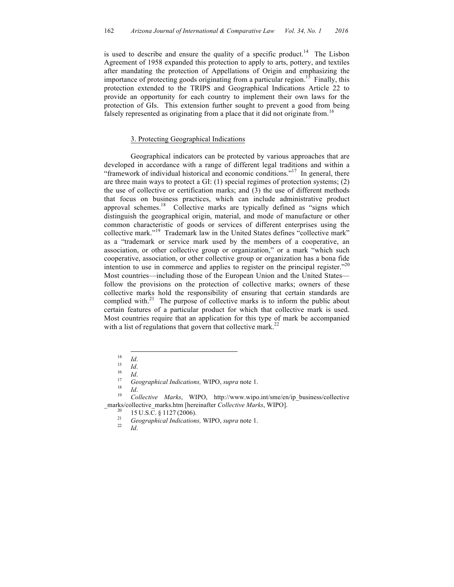is used to describe and ensure the quality of a specific product.<sup>14</sup> The Lisbon Agreement of 1958 expanded this protection to apply to arts, pottery, and textiles after mandating the protection of Appellations of Origin and emphasizing the importance of protecting goods originating from a particular region.<sup>15</sup> Finally, this protection extended to the TRIPS and Geographical Indications Article 22 to provide an opportunity for each country to implement their own laws for the protection of GIs. This extension further sought to prevent a good from being falsely represented as originating from a place that it did not originate from.<sup>16</sup>

#### 3. Protecting Geographical Indications

Geographical indicators can be protected by various approaches that are developed in accordance with a range of different legal traditions and within a "framework of individual historical and economic conditions."<sup>17</sup> In general, there are three main ways to protect a GI: (1) special regimes of protection systems; (2) the use of collective or certification marks; and (3) the use of different methods that focus on business practices, which can include administrative product approval schemes.<sup>18</sup> Collective marks are typically defined as "signs which distinguish the geographical origin, material, and mode of manufacture or other common characteristic of goods or services of different enterprises using the collective mark." 19 Trademark law in the United States defines "collective mark" as a "trademark or service mark used by the members of a cooperative, an association, or other collective group or organization," or a mark "which such cooperative, association, or other collective group or organization has a bona fide intention to use in commerce and applies to register on the principal register.<sup> $20$ </sup> Most countries—including those of the European Union and the United States follow the provisions on the protection of collective marks; owners of these collective marks hold the responsibility of ensuring that certain standards are complied with. $21$  The purpose of collective marks is to inform the public about certain features of a particular product for which that collective mark is used. Most countries require that an application for this type of mark be accompanied with a list of regulations that govern that collective mark.<sup>22</sup>

14 *Id.*<br>
15 *Id.*<br>
16 *Id.*<br>
<sup>17</sup> *Geographical Indications,* WIPO, *supra* note 1.<br>
<sup>18</sup> *Id.*<br> *Collective Marks*, WIPO, http://www.wipo.int/sme/en/ip\_business/collective \_marks/collective\_marks.htm [hereinafter *Collective Marks*, WIPO]. <sup>20</sup> <sup>15</sup> U.S.C. § <sup>1127</sup> (2006). <sup>21</sup> *Geographical Indications,* WIPO, *supra* note 1. <sup>22</sup> *Id*.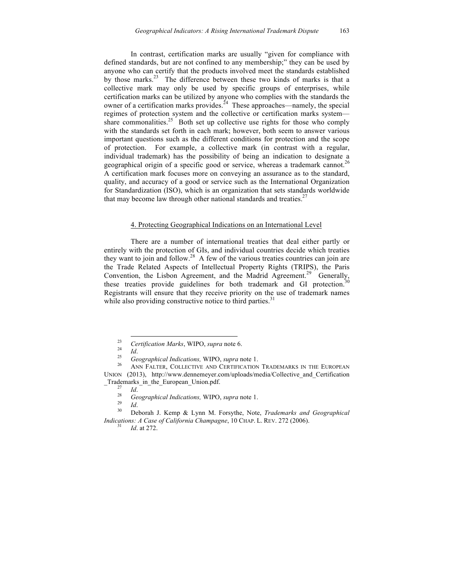In contrast, certification marks are usually "given for compliance with defined standards, but are not confined to any membership;" they can be used by anyone who can certify that the products involved meet the standards established by those marks.<sup>23</sup> The difference between these two kinds of marks is that a collective mark may only be used by specific groups of enterprises, while certification marks can be utilized by anyone who complies with the standards the owner of a certification marks provides.<sup>24</sup> These approaches—namely, the special regimes of protection system and the collective or certification marks system share commonalities.<sup>25</sup> Both set up collective use rights for those who comply with the standards set forth in each mark; however, both seem to answer various important questions such as the different conditions for protection and the scope of protection. For example, a collective mark (in contrast with a regular, individual trademark) has the possibility of being an indication to designate a geographical origin of a specific good or service, whereas a trademark cannot.<sup>26</sup> A certification mark focuses more on conveying an assurance as to the standard, quality, and accuracy of a good or service such as the International Organization for Standardization (ISO), which is an organization that sets standards worldwide that may become law through other national standards and treaties.<sup>27</sup>

#### 4. Protecting Geographical Indications on an International Level

There are a number of international treaties that deal either partly or entirely with the protection of GIs, and individual countries decide which treaties they want to join and follow.<sup>28</sup> A few of the various treaties countries can join are the Trade Related Aspects of Intellectual Property Rights (TRIPS), the Paris Convention, the Lisbon Agreement, and the Madrid Agreement.<sup>29</sup> Generally, these treaties provide guidelines for both trademark and GI protection.<sup>30</sup> Registrants will ensure that they receive priority on the use of trademark names while also providing constructive notice to third parties.<sup>31</sup>

<sup>&</sup>lt;sup>23</sup> *Certification Marks*, WIPO, *supra* note 6.<br>
<sup>25</sup> *Geographical Indications*, WIPO, *supra* note 1.<br>
<sup>26</sup> ANN FALTER, COLLECTIVE AND CERTIFICATION TRADEMARKS IN THE EUROPEAN UNION (2013), http://www.dennemeyer.com/uploads/media/Collective\_and\_Certification \_Trademarks\_in\_the\_European\_Union.pdf.

\_Trademarks\_in\_the\_European\_Union.pdf. <sup>27</sup> *Id*. <sup>28</sup> *Geographical Indications,* WIPO, *supra* note 1. <sup>29</sup> *Id*. <sup>30</sup> Deborah J. Kemp & Lynn M. Forsythe, Note, *Trademarks and Geographical Indications: A Case of California Champagne*, 10 CHAP. L. REV. 272 (2006). <sup>31</sup> *Id*. at 272.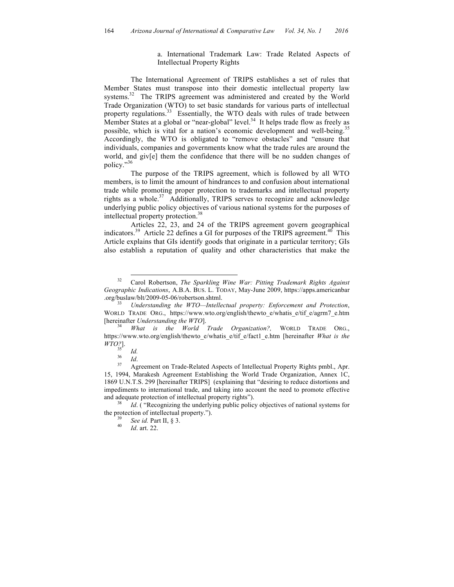a. International Trademark Law: Trade Related Aspects of Intellectual Property Rights

The International Agreement of TRIPS establishes a set of rules that Member States must transpose into their domestic intellectual property law systems.<sup>32</sup> The TRIPS agreement was administered and created by the World Trade Organization (WTO) to set basic standards for various parts of intellectual property regulations.<sup>33</sup> Essentially, the WTO deals with rules of trade between Member States at a global or "near-global" level.<sup>34</sup> It helps trade flow as freely as possible, which is vital for a nation's economic development and well-being.<sup>35</sup> Accordingly, the WTO is obligated to "remove obstacles" and "ensure that individuals, companies and governments know what the trade rules are around the world, and give them the confidence that there will be no sudden changes of policy." 36

The purpose of the TRIPS agreement, which is followed by all WTO members, is to limit the amount of hindrances to and confusion about international trade while promoting proper protection to trademarks and intellectual property rights as a whole.<sup>37</sup> Additionally, TRIPS serves to recognize and acknowledge underlying public policy objectives of various national systems for the purposes of intellectual property protection.<sup>38</sup>

Articles 22, 23, and 24 of the TRIPS agreement govern geographical indicators.<sup>39</sup> Article 22 defines a GI for purposes of the TRIPS agreement.<sup>40</sup> This Article explains that GIs identify goods that originate in a particular territory; GIs also establish a reputation of quality and other characteristics that make the

 <sup>32</sup> Carol Robertson, *The Sparkling Wine War: Pitting Trademark Rights Against Geographic Indications*, A.B.A. BUS. L. TODAY, May-June 2009, https://apps.americanbar

Understanding the WTO—Intellectual property: Enforcement and Protection, WORLD TRADE ORG., https://www.wto.org/english/thewto e/whatis e/tif e/agrm7 e.htm [hereinafter *Understanding the WTO*]. <sup>34</sup> *What is the World Trade Organization?,* WORLD TRADE ORG.,

https://www.wto.org/english/thewto\_e/whatis\_e/tif\_e/fact1\_e.htm [hereinafter *What is the WTO?*].

<sup>&</sup>lt;sup>35</sup> *Id.*<br><sup>36</sup> *Id.* Agreement on Trade-Related Aspects of Intellectual Property Rights pmbl., Apr. 15, 1994, Marakesh Agreement Establishing the World Trade Organization, Annex 1C, 1869 U.N.T.S. 299 [hereinafter TRIPS] (explaining that "desiring to reduce distortions and impediments to international trade, and taking into account the need to promote effective and adequate protection of intellectual property rights").<br><sup>38</sup> *Id.* ( "Recognizing the underlying public policy objectives of national systems for

the protection of intellectual property.").<br><sup>39</sup> *See id.* Part II, § 3.<br>*40 Id.* art. 22.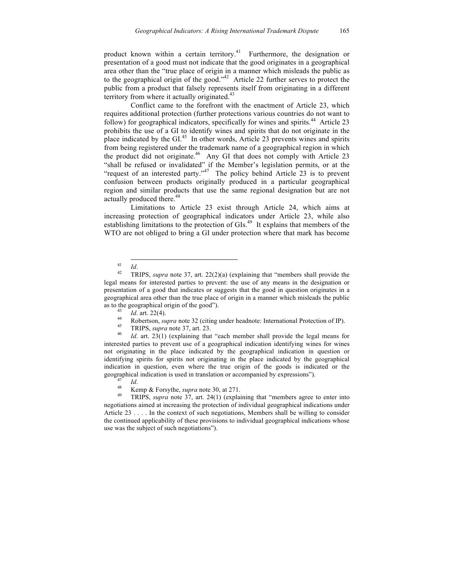product known within a certain territory.<sup>41</sup> Furthermore, the designation or presentation of a good must not indicate that the good originates in a geographical area other than the "true place of origin in a manner which misleads the public as to the geographical origin of the good." $42$  Article 22 further serves to protect the public from a product that falsely represents itself from originating in a different territory from where it actually originated. $43$ 

Conflict came to the forefront with the enactment of Article 23, which requires additional protection (further protections various countries do not want to follow) for geographical indicators, specifically for wines and spirits.<sup>44</sup> Article 23 prohibits the use of a GI to identify wines and spirits that do not originate in the place indicated by the GI.<sup>45</sup> In other words, Article 23 prevents wines and spirits from being registered under the trademark name of a geographical region in which the product did not originate. 46 Any GI that does not comply with Article 23 "shall be refused or invalidated" if the Member's legislation permits, or at the "request of an interested party."<sup>47</sup> The policy behind Article 23 is to prevent confusion between products originally produced in a particular geographical region and similar products that use the same regional designation but are not actually produced there. 48

Limitations to Article 23 exist through Article 24, which aims at increasing protection of geographical indicators under Article 23, while also establishing limitations to the protection of GIs.<sup>49</sup> It explains that members of the WTO are not obliged to bring a GI under protection where that mark has become

- 
- 

interested parties to prevent use of a geographical indication identifying wines for wines not originating in the place indicated by the geographical indication in question or identifying spirits for spirits not originating in the place indicated by the geographical indication in question, even where the true origin of the goods is indicated or the geographical indication is used in translation or accompanied by expressions").<br>  $I_d$ .<br>  $I_d$ .<br>  $\begin{array}{r} \text{Kemp} \& \text{Forsythe, } *supra* note 30, at 271. \end{array}$ <br>  $\begin{array}{r} \text{TRIPS, } *supra* note 37, art. 24(1) (explaining that "members agree to enter into the image). \end{array}$ 

negotiations aimed at increasing the protection of individual geographical indications under Article 23 . . . . In the context of such negotiations, Members shall be willing to consider the continued applicability of these provisions to individual geographical indications whose use was the subject of such negotiations").

<sup>41</sup> *Id*. <sup>42</sup> TRIPS, *supra* note 37, art. 22(2)(a) (explaining that "members shall provide the legal means for interested parties to prevent: the use of any means in the designation or presentation of a good that indicates or suggests that the good in question originates in a geographical area other than the true place of origin in a manner which misleads the public as to the geographical origin of the good").<br>
<sup>43</sup> *Id.* art. 22(4).<br>
<sup>44</sup> Robertson, *supra* note 32 (citing under headnote: International Protection of IP).<br>
<sup>45</sup> TRIPS, *supra* note 37, art. 23.<br>
<sup>46</sup> *Id.* art. 23(1)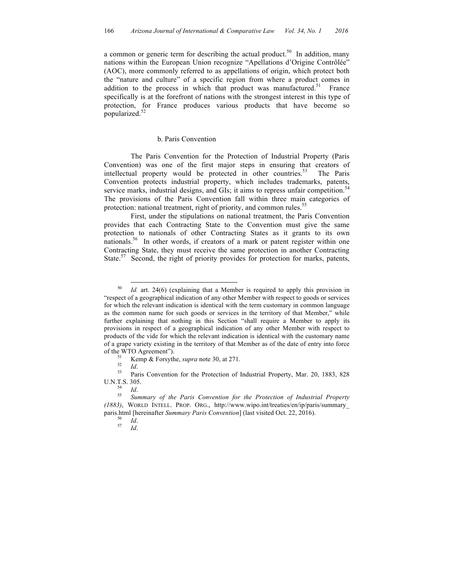a common or generic term for describing the actual product.<sup>50</sup> In addition, many nations within the European Union recognize "Apellations d'Origine Contrôlée" (AOC), more commonly referred to as appellations of origin, which protect both the "nature and culture" of a specific region from where a product comes in addition to the process in which that product was manufactured.<sup>51</sup> France specifically is at the forefront of nations with the strongest interest in this type of protection, for France produces various products that have become so popularized.<sup>52</sup>

### b. Paris Convention

The Paris Convention for the Protection of Industrial Property (Paris Convention) was one of the first major steps in ensuring that creators of intellectual property would be protected in other countries.<sup>53</sup> The Paris Convention protects industrial property, which includes trademarks, patents, service marks, industrial designs, and GIs; it aims to repress unfair competition.<sup>54</sup> The provisions of the Paris Convention fall within three main categories of protection: national treatment, right of priority, and common rules.<sup>55</sup>

First, under the stipulations on national treatment, the Paris Convention provides that each Contracting State to the Convention must give the same protection to nationals of other Contracting States as it grants to its own nationals.<sup>56</sup> In other words, if creators of a mark or patent register within one Contracting State, they must receive the same protection in another Contracting State.<sup>57</sup> Second, the right of priority provides for protection for marks, patents,

 <sup>50</sup> *Id.* art. 24(6) (explaining that a Member is required to apply this provision in "respect of a geographical indication of any other Member with respect to goods or services for which the relevant indication is identical with the term customary in common language as the common name for such goods or services in the territory of that Member," while further explaining that nothing in this Section "shall require a Member to apply its provisions in respect of a geographical indication of any other Member with respect to products of the vide for which the relevant indication is identical with the customary name of a grape variety existing in the territory of that Member as of the date of entry into force of the WTO Agreement").<br>
<sup>51</sup> Kemp & Forsythe, *supra* note 30, at 271.<br>
<sup>52</sup> *Id.*<br>
<sup>53</sup> Paris Convention for the Protection of Industrial Property, Mar. 20, 1883, 828

U.N.T.S. 305. 54 *Id*. <sup>55</sup> *Summary of the Paris Convention for the Protection of Industrial Property* 

*<sup>(1883)</sup>*, WORLD INTELL. PROP. ORG., http://www.wipo.int/treaties/en/ip/paris/summary\_ paris.html [hereinafter *Summary Paris Convention*] (last visited Oct. 22, 2016).<br><sup>56</sup> *Id.* 57 *Id.*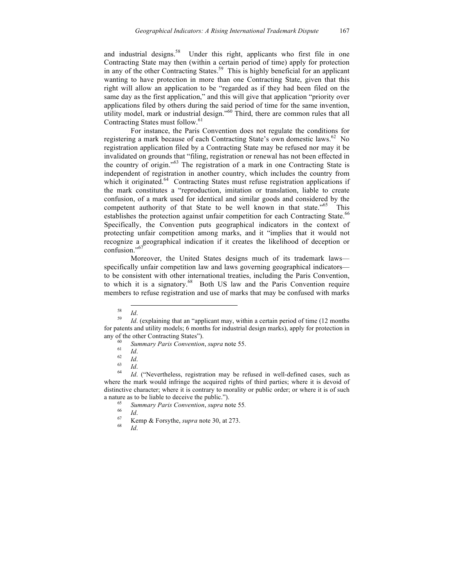and industrial designs.<sup>58</sup> Under this right, applicants who first file in one Contracting State may then (within a certain period of time) apply for protection in any of the other Contracting States.<sup>59</sup> This is highly beneficial for an applicant wanting to have protection in more than one Contracting State, given that this right will allow an application to be "regarded as if they had been filed on the same day as the first application," and this will give that application "priority over applications filed by others during the said period of time for the same invention, utility model, mark or industrial design." <sup>60</sup> Third, there are common rules that all Contracting States must follow.<sup>61</sup>

For instance, the Paris Convention does not regulate the conditions for registering a mark because of each Contracting State's own domestic laws.<sup>62</sup> No registration application filed by a Contracting State may be refused nor may it be invalidated on grounds that "filing, registration or renewal has not been effected in the country of origin." <sup>63</sup> The registration of a mark in one Contracting State is independent of registration in another country, which includes the country from which it originated.<sup>64</sup> Contracting States must refuse registration applications if the mark constitutes a "reproduction, imitation or translation, liable to create confusion, of a mark used for identical and similar goods and considered by the competent authority of that State to be well known in that state."<sup>65</sup> This establishes the protection against unfair competition for each Contracting State.<sup>66</sup> Specifically, the Convention puts geographical indicators in the context of protecting unfair competition among marks, and it "implies that it would not recognize a geographical indication if it creates the likelihood of deception or confusion." 67

Moreover, the United States designs much of its trademark laws specifically unfair competition law and laws governing geographical indicators to be consistent with other international treaties, including the Paris Convention, to which it is a signatory. 68 Both US law and the Paris Convention require members to refuse registration and use of marks that may be confused with marks

<sup>58</sup> *Id*. <sup>59</sup> *Id*. (explaining that an "applicant may, within a certain period of time (12 months for patents and utility models; 6 months for industrial design marks), apply for protection in any of the other Contracting States").<br>
<sup>60</sup> Summary Paris Convention, supra note 55.<br>
<sup>61</sup> Id.<br>
<sup>62</sup> Id.<br>
<sup>63</sup> Id.<br>
<sup>64</sup> Id. ("Nevertheless, registration may be refused in well-defined cases, such as

where the mark would infringe the acquired rights of third parties; where it is devoid of distinctive character; where it is contrary to morality or public order; or where it is of such a nature as to be liable to deceive the public.").<br>
<sup>65</sup> *Summary Paris Convention*, *supra* note 55.<br>
<sup>67</sup> Kemp & Forsythe, *supra* note 30, at 273.<br>
<sup>68</sup> *Id.*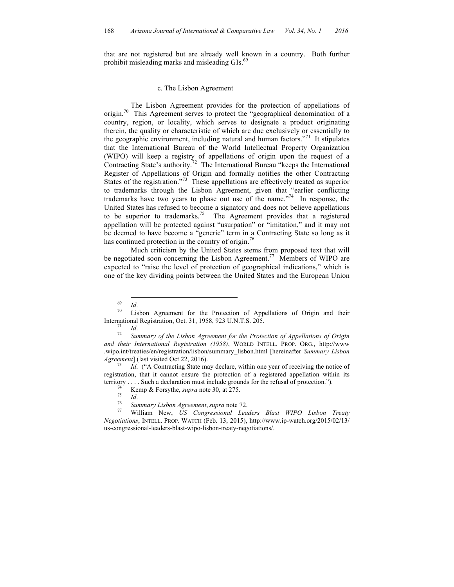that are not registered but are already well known in a country. Both further prohibit misleading marks and misleading GIs.<sup>69</sup>

#### c. The Lisbon Agreement

The Lisbon Agreement provides for the protection of appellations of origin.70 This Agreement serves to protect the "geographical denomination of a country, region, or locality, which serves to designate a product originating therein, the quality or characteristic of which are due exclusively or essentially to the geographic environment, including natural and human factors."<sup>71</sup> It stipulates that the International Bureau of the World Intellectual Property Organization (WIPO) will keep a registry of appellations of origin upon the request of a Contracting State's authority.<sup>72</sup> The International Bureau "keeps the International Register of Appellations of Origin and formally notifies the other Contracting States of the registration."<sup>73</sup> These appellations are effectively treated as superior to trademarks through the Lisbon Agreement, given that "earlier conflicting trademarks have two years to phase out use of the name." <sup>74</sup> In response, the United States has refused to become a signatory and does not believe appellations to be superior to trademarks.<sup>75</sup> The Agreement provides that a registered appellation will be protected against "usurpation" or "imitation," and it may not be deemed to have become a "generic" term in a Contracting State so long as it has continued protection in the country of origin.<sup>76</sup>

Much criticism by the United States stems from proposed text that will be negotiated soon concerning the Lisbon Agreement.<sup>77</sup> Members of WIPO are expected to "raise the level of protection of geographical indications," which is one of the key dividing points between the United States and the European Union

<sup>&</sup>lt;sup>69</sup> *Id.*<br><sup>70</sup> Lisbon Agreement for the Protection of Appellations of Origin and their International Registration, Oct. 31, 1958, 923 U.N.T.S. 205.<br><sup>71</sup> *Id. Summary of the Lisbon Agreement for the Protection of Appellations of Origin* 

*and their International Registration (1958)*, WORLD INTELL. PROP. ORG., http://www .wipo.int/treaties/en/registration/lisbon/summary\_lisbon.html [hereinafter *Summary Lisbon Agreement*] (last visited Oct 22, 2016). *<sup>73</sup> Id.* ("A Contracting State may declare, within one year of receiving the notice of

registration, that it cannot ensure the protection of a registered appellation within its territory .... Such a declaration must include grounds for the refusal of protection.").<br>
<sup>74</sup> Kemp & Forsythe, *supra* note 30, at 275.<br>
<sup>75</sup> Id.<br>
<sup>76</sup> Summary Lisbon Agreement, supra note 72.<br>
<sup>77</sup> William New, *US Cong* 

*Negotiations*, INTELL. PROP. WATCH (Feb. 13, 2015), http://www.ip-watch.org/2015/02/13/ us-congressional-leaders-blast-wipo-lisbon-treaty-negotiations/.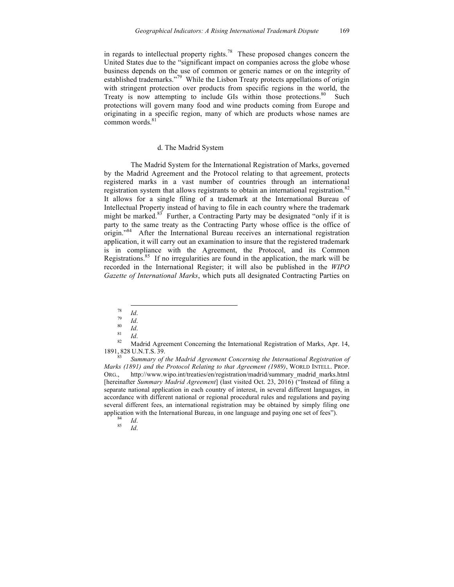in regards to intellectual property rights.<sup>78</sup> These proposed changes concern the United States due to the "significant impact on companies across the globe whose business depends on the use of common or generic names or on the integrity of established trademarks."<sup>79</sup> While the Lisbon Treaty protects appellations of origin with stringent protection over products from specific regions in the world, the Treaty is now attempting to include GIs within those protections.<sup>80</sup> Such protections will govern many food and wine products coming from Europe and originating in a specific region, many of which are products whose names are common words. 81

### d. The Madrid System

The Madrid System for the International Registration of Marks, governed by the Madrid Agreement and the Protocol relating to that agreement, protects registered marks in a vast number of countries through an international registration system that allows registrants to obtain an international registration. $82$ It allows for a single filing of a trademark at the International Bureau of Intellectual Property instead of having to file in each country where the trademark might be marked.<sup>83</sup> Further, a Contracting Party may be designated "only if it is party to the same treaty as the Contracting Party whose office is the office of origin." 84 After the International Bureau receives an international registration application, it will carry out an examination to insure that the registered trademark is in compliance with the Agreement, the Protocol, and its Common Registrations.<sup>85</sup> If no irregularities are found in the application, the mark will be recorded in the International Register; it will also be published in the *WIPO Gazette of International Marks*, which puts all designated Contracting Parties on

- 
- 
- 

78 *Id.*<br>
79 *Id.*<br>
80 *Id.*<br>
81 *Id.*<br>
82 Madrid Agreement Concerning the International Registration of Marks, Apr. 14,<br>
1891, 828 U.N.T.S. 39.

Summary of the Madrid Agreement Concerning the International Registration of *Marks (1891) and the Protocol Relating to that Agreement (1989)*, WORLD INTELL. PROP. ORG., http://www.wipo.int/treaties/en/registration/madrid/summary\_madrid\_marks.html [hereinafter *Summary Madrid Agreement*] (last visited Oct. 23, 2016) ("Instead of filing a separate national application in each country of interest, in several different languages, in accordance with different national or regional procedural rules and regulations and paying several different fees, an international registration may be obtained by simply filing one application with the International Bureau, in one language and paying one set of fees").<br><sup>84</sup> *Id.* 85 *Id.*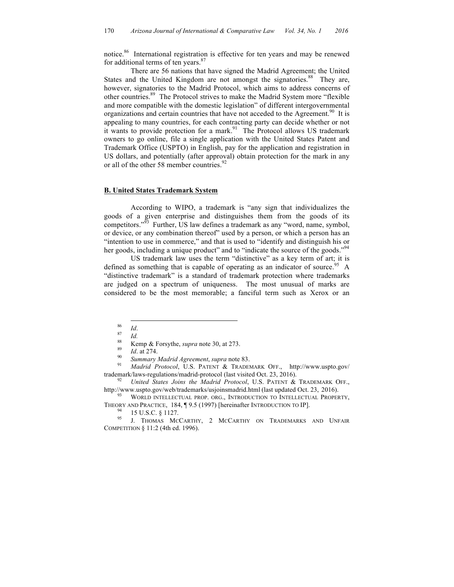notice. 86 International registration is effective for ten years and may be renewed for additional terms of ten years.<sup>87</sup>

There are 56 nations that have signed the Madrid Agreement; the United States and the United Kingdom are not amongst the signatories.<sup>88</sup> They are, however, signatories to the Madrid Protocol, which aims to address concerns of other countries. 89 The Protocol strives to make the Madrid System more "flexible and more compatible with the domestic legislation" of different intergovernmental organizations and certain countries that have not acceded to the Agreement.<sup>90</sup> It is appealing to many countries, for each contracting party can decide whether or not it wants to provide protection for a mark.<sup>91</sup> The Protocol allows US trademark owners to go online, file a single application with the United States Patent and Trademark Office (USPTO) in English, pay for the application and registration in US dollars, and potentially (after approval) obtain protection for the mark in any or all of the other 58 member countries.<sup>92</sup>

#### **B. United States Trademark System**

According to WIPO, a trademark is "any sign that individualizes the goods of a given enterprise and distinguishes them from the goods of its competitors."<sup> $93$ </sup> Further, US law defines a trademark as any "word, name, symbol, or device, or any combination thereof" used by a person, or which a person has an "intention to use in commerce," and that is used to "identify and distinguish his or her goods, including a unique product" and to "indicate the source of the goods."<sup>94</sup>

US trademark law uses the term "distinctive" as a key term of art; it is defined as something that is capable of operating as an indicator of source.<sup>95</sup> A "distinctive trademark" is a standard of trademark protection where trademarks are judged on a spectrum of uniqueness. The most unusual of marks are considered to be the most memorable; a fanciful term such as Xerox or an

<sup>86</sup><br>
<sup>87</sup><br> *Id.*<br>
<sup>88</sup><br> **Kemp & Forsythe,** *supra* **note 30, at 273.**<br>
<sup>89</sup><br> *Id.* at 274.<br> *Summary Madrid Agreement, supra* note 83.<br>
<sup>91</sup> *Madrid Protocol*, U.S. PATENT & TRADEMARK OFF., http://www.uspto.gov/ trademark/laws-regulations/madrid-protocol (last visited Oct. 23, 2016). <sup>92</sup> *United States Joins the Madrid Protocol*, U.S. PATENT & TRADEMARK OFF.,

http://www.uspto.gov/web/trademarks/usjoinsmadrid.html (last updated Oct. 23, 2016). <sup>93</sup> WORLD INTELLECTUAL PROP. ORG., INTRODUCTION TO INTELLECTUAL PROPERTY,

THEORY AND PRACTICE, 184, ¶ 9.5 (1997) [hereinafter INTRODUCTION TO IP].<br><sup>94</sup> 15 U.S.C. § 1127.<br><sup>95</sup> J. THOMAS MCCARTHY, 2 MCCARTHY ON TRADEMARKS AND UNFAIR

COMPETITION § 11:2 (4th ed. 1996).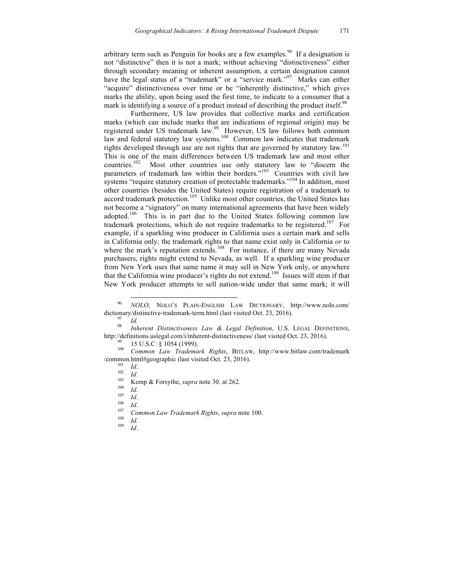arbitrary term such as Penguin for books are a few examples.<sup>96</sup> If a designation is not "distinctive" then it is not a mark; without achieving "distinctiveness" either through secondary meaning or inherent assumption, a certain designation cannot have the legal status of a "trademark" or a "service mark."<sup>97</sup> Marks can either "acquire" distinctiveness over time or be "inherently distinctive," which gives marks the ability, upon being used the first time, to indicate to a consumer that a mark is identifying a source of a product instead of describing the product itself.<sup>98</sup>

Furthermore, US law provides that collective marks and certification marks (which can include marks that are indications of regional origin) may be registered under US trademark law.<sup>99</sup> However, US law follows both common law and federal statutory law systems.<sup>100</sup> Common law indicates that trademark rights developed through use are not rights that are governed by statutory law.<sup>101</sup> This is one of the main differences between US trademark law and most other countries.102 Most other countries use only statutory law to "discern the parameters of trademark law within their borders."<sup>103</sup> Countries with civil law systems "require statutory creation of protectable trademarks."<sup>104</sup> In addition, most other countries (besides the United States) require registration of a trademark to accord trademark protection.<sup>105</sup> Unlike most other countries, the United States has not become a "signatory" on many international agreements that have been widely adopted.<sup>106</sup> This is in part due to the United States following common law trademark protections, which do not require trademarks to be registered.<sup>107</sup> For example, if a sparkling wine producer in California uses a certain mark and sells in California only, the trademark rights to that name exist only in California *or* to where the mark's reputation extends.<sup>108</sup> For instance, if there are many Nevada purchasers, rights might extend to Nevada, as well. If a sparkling wine producer from New York uses that same name it may sell in New York only, or anywhere that the California wine producer's rights do not extend. 109 Issues will stem if that New York producer attempts to sell nation-wide under that same mark; it will

 <sup>96</sup> *NOLO*, NOLO'S PLAIN-ENGLISH LAW DICTIONARY, http://www.nolo.com/ dictionary/distinctive-trademark-term.html (last visited Oct. 23, 2016).<br><sup>97</sup> *Id.* 98 *Inherent Distinctiveness Law & Legal Definition*, U.S. LEGAL DEFINITIONS,

http://definitions.uslegal.com/i/inherent-distinctiveness/ (last visited Oct. 23, 2016).<br><sup>99</sup> 15 U.S.C. § 1054 (1999).<br><sup>100</sup> *Common Law Trademark Rights*, BITLAW, http://www.bitlaw.com/trademark

<sup>/</sup>common.html#geographic (last visited Oct. 23, 2016).<br>
<sup>101</sup> *Id.*<br>
<sup>102</sup> *Id.*<br>
<sup>103</sup> Kemp & Forsythe, *supra* note 30, at 262.<br>
<sup>104</sup> *Id.*<br>
<sup>105</sup> *Id.*<br>
<sup>106</sup> *Id.*<br>
Common Law Trademark Rights, *supra* note 100.<br>
<sup>108</sup>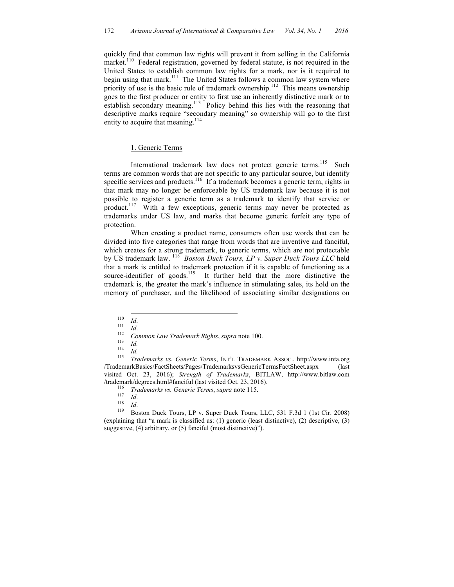quickly find that common law rights will prevent it from selling in the California market.<sup>110</sup> Federal registration, governed by federal statute, is not required in the United States to establish common law rights for a mark, nor is it required to begin using that mark.<sup>111</sup> The United States follows a common law system where priority of use is the basic rule of trademark ownership.<sup>112</sup> This means ownership goes to the first producer or entity to first use an inherently distinctive mark or to establish secondary meaning.<sup>113</sup> Policy behind this lies with the reasoning that descriptive marks require "secondary meaning" so ownership will go to the first entity to acquire that meaning.<sup>114</sup>

#### 1. Generic Terms

International trademark law does not protect generic terms.<sup>115</sup> Such terms are common words that are not specific to any particular source, but identify specific services and products.<sup>116</sup> If a trademark becomes a generic term, rights in that mark may no longer be enforceable by US trademark law because it is not possible to register a generic term as a trademark to identify that service or product.<sup>117</sup> With a few exceptions, generic terms may never be protected as trademarks under US law, and marks that become generic forfeit any type of protection.

When creating a product name, consumers often use words that can be divided into five categories that range from words that are inventive and fanciful, which creates for a strong trademark, to generic terms, which are not protectable by US trademark law. <sup>118</sup> *Boston Duck Tours, LP v. Super Duck Tours LLC* held that a mark is entitled to trademark protection if it is capable of functioning as a source-identifier of goods.<sup>119</sup> It further held that the more distinctive the trademark is, the greater the mark's influence in stimulating sales, its hold on the memory of purchaser, and the likelihood of associating similar designations on

110 *Id.*<br>
111 *Id.*<br>
113 *Id.*<br>
114 *Id.*<br>
115 *Trademarks vs. Generic Terms*, INT'L TRADEMARK ASSOC., http://www.inta.org<br>
115 *Trademarks vs. Generic Terms*, INT'L TRADEMARK ASSOC., http://www.inta.org /TrademarkBasics/FactSheets/Pages/TrademarksvsGenericTermsFactSheet.aspx (last visited Oct. 23, 2016); *Strength of Trademarks*, BITLAW, http://www.bitlaw.com /trademark/degrees.html#fanciful (last visited Oct. 23, 2016).<br>
<sup>116</sup> *Trademarks vs. Generic Terms, supra* note 115.<br>
<sup>117</sup> *Id.*<br>
<sup>118</sup> *Id.*<br>
<sup>118</sup> Boston Duck Tours, LP v. Super Duck Tours, LLC, 531 F.3d 1 (1st Cir. 2

(explaining that "a mark is classified as: (1) generic (least distinctive), (2) descriptive, (3) suggestive, (4) arbitrary, or (5) fanciful (most distinctive)").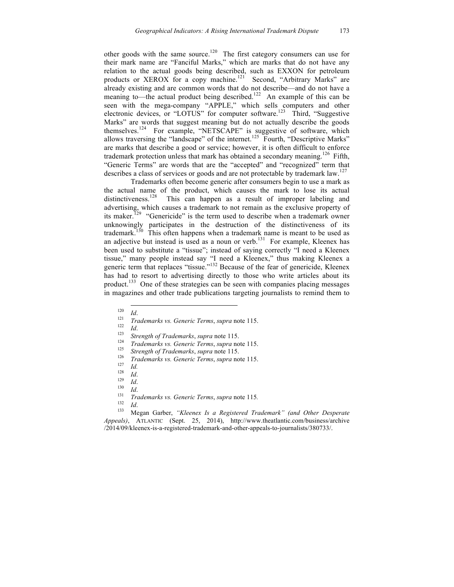other goods with the same source.<sup>120</sup> The first category consumers can use for their mark name are "Fanciful Marks," which are marks that do not have any relation to the actual goods being described, such as EXXON for petroleum products or XEROX for a copy machine.<sup>121</sup> Second, "Arbitrary Marks" are already existing and are common words that do not describe—and do not have a meaning to—the actual product being described.<sup>122</sup> An example of this can be seen with the mega-company "APPLE," which sells computers and other electronic devices, or "LOTUS" for computer software.<sup>123</sup> Third, "Suggestive Marks" are words that suggest meaning but do not actually describe the goods themselves.<sup>124</sup> For example, "NETSCAPE" is suggestive of software, which allows traversing the "landscape" of the internet.<sup>125</sup> Fourth, "Descriptive Marks" are marks that describe a good or service; however, it is often difficult to enforce trademark protection unless that mark has obtained a secondary meaning.<sup>126</sup> Fifth, "Generic Terms" are words that are the "accepted" and "recognized" term that describes a class of services or goods and are not protectable by trademark law.<sup>127</sup>

Trademarks often become generic after consumers begin to use a mark as the actual name of the product, which causes the mark to lose its actual distinctiveness.<sup>128</sup> This can happen as a result of improper labeling and advertising, which causes a trademark to not remain as the exclusive property of its maker.<sup>129</sup> "Genericide" is the term used to describe when a trademark owner unknowingly participates in the destruction of the distinctiveness of its trademark.<sup>130</sup> This often happens when a trademark name is meant to be used as an adjective but instead is used as a noun or verb.<sup>131</sup> For example, Kleenex has been used to substitute a "tissue"; instead of saying correctly "I need a Kleenex tissue," many people instead say "I need a Kleenex," thus making Kleenex a generic term that replaces "tissue."<sup>132</sup> Because of the fear of genericide, Kleenex has had to resort to advertising directly to those who write articles about its product.<sup>133</sup> One of these strategies can be seen with companies placing messages in magazines and other trade publications targeting journalists to remind them to

- 
- 
- 
- 
- 
- 
- 
- 
- 
- 
- 
- 

120<br>
121<br>
122 *Id.*<br>
122 *If ademarks vs. Generic Terms, supra* note 115.<br>
123 *Strength of Trademarks, supra* note 115.<br>
125 *Trademarks vs. Generic Terms, supra* note 115.<br>
126 *Irademarks vs. Generic Terms, supra* note *Appeals)*, ATLANTIC (Sept. 25, 2014), http://www.theatlantic.com/business/archive /2014/09/kleenex-is-a-registered-trademark-and-other-appeals-to-journalists/380733/.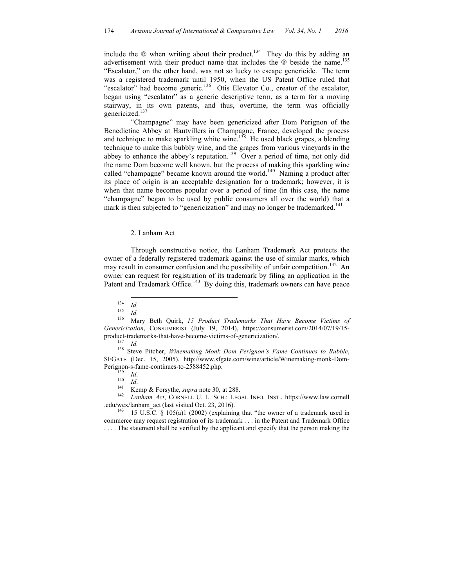include the  $\&$  when writing about their product.<sup>134</sup> They do this by adding an advertisement with their product name that includes the  $\Omega$  beside the name.<sup>135</sup> "Escalator," on the other hand, was not so lucky to escape genericide. The term was a registered trademark until 1950, when the US Patent Office ruled that "escalator" had become generic.<sup>136</sup> Otis Elevator Co., creator of the escalator, began using "escalator" as a generic descriptive term, as a term for a moving stairway, in its own patents, and thus, overtime, the term was officially genericized.137

"Champagne" may have been genericized after Dom Perignon of the Benedictine Abbey at Hautvillers in Champagne, France, developed the process and technique to make sparkling white wine.<sup>138</sup> He used black grapes, a blending technique to make this bubbly wine, and the grapes from various vineyards in the abbey to enhance the abbey's reputation.<sup>139</sup> Over a period of time, not only did the name Dom become well known, but the process of making this sparkling wine called "champagne" became known around the world.<sup>140</sup> Naming a product after its place of origin is an acceptable designation for a trademark; however, it is when that name becomes popular over a period of time (in this case, the name "champagne" began to be used by public consumers all over the world) that a mark is then subjected to "genericization" and may no longer be trademarked.<sup>141</sup>

### 2. Lanham Act

Through constructive notice, the Lanham Trademark Act protects the owner of a federally registered trademark against the use of similar marks, which may result in consumer confusion and the possibility of unfair competition.<sup>142</sup> An owner can request for registration of its trademark by filing an application in the Patent and Trademark Office.<sup>143</sup> By doing this, trademark owners can have peace

.edu/wex/lanham\_act (last visited Oct. 23, 2016).<br><sup>143</sup> 15 U.S.C. § 105(a)1 (2002) (explaining that "the owner of a trademark used in

<sup>134</sup> *Id.* <sup>135</sup> *Id.* <sup>136</sup> Mary Beth Quirk, *15 Product Trademarks That Have Become Victims of Genericization*, CONSUMERIST (July 19, 2014), https://consumerist.com/2014/07/19/15 product-trademarks-that-have-become-victims-of-genericization/. <sup>137</sup> *Id.* <sup>138</sup> Steve Pitcher, *Winemaking Monk Dom Perignon's Fame Continues to Bubble*,

SFGATE (Dec. 15, 2005), http://www.sfgate.com/wine/article/Winemaking-monk-Dom-Perignon-s-fame-continues-to-2588452.php.<br>
139 *Id.*<br>
140 *Id.* 140 *Id.*<br>
142 *Lanham Act*, CORNELL U. L. SCH.: LEGAL INFO. INST., https://www.law.cornell

commerce may request registration of its trademark . . . in the Patent and Trademark Office . . . . The statement shall be verified by the applicant and specify that the person making the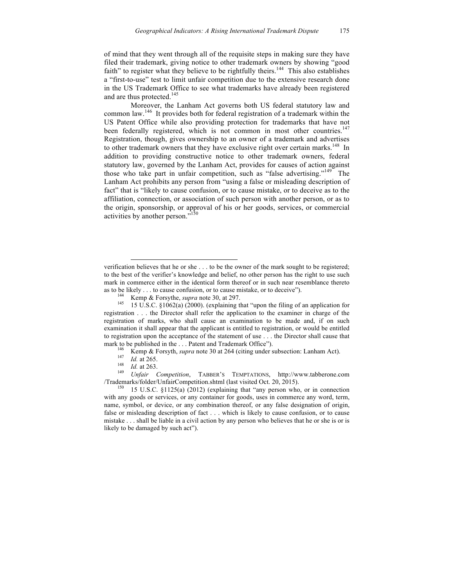of mind that they went through all of the requisite steps in making sure they have filed their trademark, giving notice to other trademark owners by showing "good faith" to register what they believe to be rightfully theirs.<sup>144</sup> This also establishes a "first-to-use" test to limit unfair competition due to the extensive research done in the US Trademark Office to see what trademarks have already been registered and are thus protected.<sup>145</sup>

Moreover, the Lanham Act governs both US federal statutory law and common law. 146 It provides both for federal registration of a trademark within the US Patent Office while also providing protection for trademarks that have not been federally registered, which is not common in most other countries.<sup>147</sup> Registration, though, gives ownership to an owner of a trademark and advertises to other trademark owners that they have exclusive right over certain marks.<sup>148</sup> In addition to providing constructive notice to other trademark owners, federal statutory law, governed by the Lanham Act, provides for causes of action against those who take part in unfair competition, such as "false advertising."<sup>149</sup> The Lanham Act prohibits any person from "using a false or misleading description of fact" that is "likely to cause confusion, or to cause mistake, or to deceive as to the affiliation, connection, or association of such person with another person, or as to the origin, sponsorship, or approval of his or her goods, services, or commercial activities by another person."<sup>150</sup>

 $\overline{a}$ 

/Trademarks/folder/UnfairCompetition.shtml (last visited Oct. 20, 2015).<br><sup>150</sup> 15 U.S.C. §1125(a) (2012) (explaining that "any person who, or in connection

verification believes that he or she . . . to be the owner of the mark sought to be registered; to the best of the verifier's knowledge and belief, no other person has the right to use such mark in commerce either in the identical form thereof or in such near resemblance thereto as to be likely . . . to cause confusion, or to cause mistake, or to deceive").<br><sup>144</sup> Kemp & Forsythe, *supra* note 30, at 297.<br><sup>145</sup> 15 U.S.C. §1062(a) (2000). (explaining that "upon the filing of an application for

registration . . . the Director shall refer the application to the examiner in charge of the registration of marks, who shall cause an examination to be made and, if on such examination it shall appear that the applicant is entitled to registration, or would be entitled to registration upon the acceptance of the statement of use . . . the Director shall cause that mark to be published in the ... Patent and Trademark Office").<br>
<sup>146</sup> Kemp & Forsyth, *supra* note 30 at 264 (citing under subsection: Lanham Act).<br>
<sup>147</sup> *Id.* at 265.<br> *Id.* at 263.<br> *Unfair Competition*, TABBER'S TEMPT

with any goods or services, or any container for goods, uses in commerce any word, term, name, symbol, or device, or any combination thereof, or any false designation of origin, false or misleading description of fact . . . which is likely to cause confusion, or to cause mistake . . . shall be liable in a civil action by any person who believes that he or she is or is likely to be damaged by such act").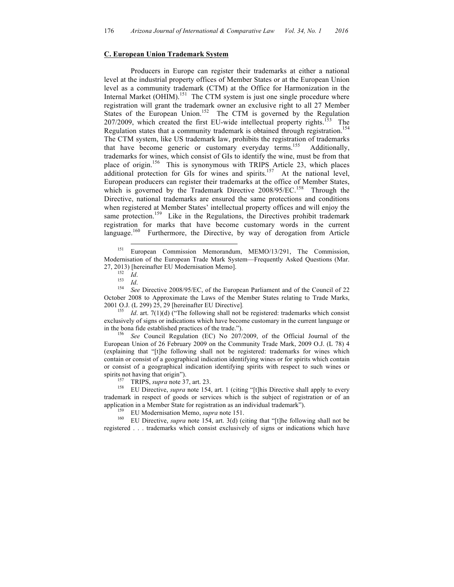#### **C. European Union Trademark System**

Producers in Europe can register their trademarks at either a national level at the industrial property offices of Member States or at the European Union level as a community trademark (CTM) at the Office for Harmonization in the Internal Market  $(OHIM).<sup>151</sup>$  The CTM system is just one single procedure where registration will grant the trademark owner an exclusive right to all 27 Member States of the European Union.<sup>152</sup> The CTM is governed by the Regulation  $207/2009$ , which created the first EU-wide intellectual property rights.<sup>153</sup> The Regulation states that a community trademark is obtained through registration.<sup>154</sup> The CTM system, like US trademark law, prohibits the registration of trademarks that have become generic or customary everyday terms.<sup>155</sup> Additionally, trademarks for wines, which consist of GIs to identify the wine, must be from that place of origin.<sup>156</sup> This is synonymous with TRIPS Article 23, which places additional protection for GIs for wines and spirits.<sup>157</sup> At the national level, European producers can register their trademarks at the office of Member States, which is governed by the Trademark Directive 2008/95/EC.<sup>158</sup> Through the Directive, national trademarks are ensured the same protections and conditions when registered at Member States' intellectual property offices and will enjoy the same protection.<sup>159</sup> Like in the Regulations, the Directives prohibit trademark registration for marks that have become customary words in the current language.<sup>160</sup> Furthermore, the Directive, by way of derogation from Article Furthermore, the Directive, by way of derogation from Article

2001 O.J. (L 299) 25, 29 [hereinafter EU Directive].<br><sup>155</sup> *Id.* art. 7(1)(d) ("The following shall not be registered: trademarks which consist exclusively of signs or indications which have become customary in the current language or

in the bona fide established practices of the trade."). <sup>156</sup> *See* Council Regulation (EC) No 207/2009, of the Official Journal of the European Union of 26 February 2009 on the Community Trade Mark, 2009 O.J. (L 78) 4 (explaining that "[t]he following shall not be registered: trademarks for wines which contain or consist of a geographical indication identifying wines or for spirits which contain or consist of a geographical indication identifying spirits with respect to such wines or

spirits not having that origin").<br><sup>157</sup> TRIPS, *supra* note 37, art. 23.<br><sup>158</sup> EU Directive, *supra* note 154, art. 1 (citing "[t]his Directive shall apply to every trademark in respect of goods or services which is the subject of registration or of an application in a Member State for registration as an individual trademark").<br><sup>159</sup> EU Modernisation Memo, *supra* note 151.<br><sup>160</sup> EU Directive, *supra* note 154, art. 3(d) (citing that "[t]he following shall not be

registered . . . trademarks which consist exclusively of signs or indications which have

 <sup>151</sup> European Commission Memorandum, MEMO/13/291, The Commission, Modernisation of the European Trade Mark System—Frequently Asked Questions (Mar. 27, 2013) [hereinafter EU Modernisation Memo].<br>
<sup>152</sup> *Id.*<br>
<sup>153</sup> *Id.* See Directive 2008/95/EC, of the European Parliament and of the Council of 22

October 2008 to Approximate the Laws of the Member States relating to Trade Marks,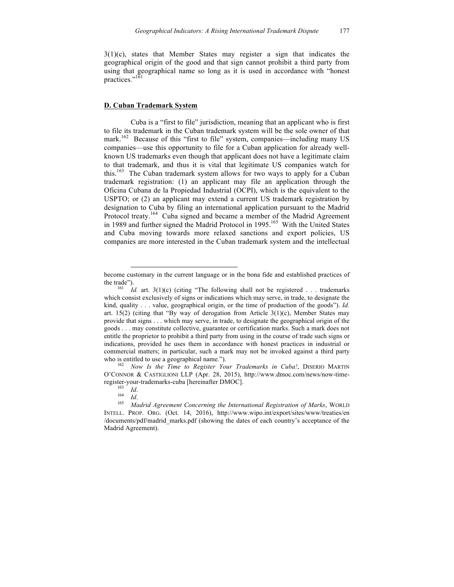$3(1)(c)$ , states that Member States may register a sign that indicates the geographical origin of the good and that sign cannot prohibit a third party from using that geographical name so long as it is used in accordance with "honest practices."<sup>161</sup>

#### **D. Cuban Trademark System**

Cuba is a "first to file" jurisdiction, meaning that an applicant who is first to file its trademark in the Cuban trademark system will be the sole owner of that mark.<sup>162</sup> Because of this "first to file" system, companies—including many US companies—use this opportunity to file for a Cuban application for already wellknown US trademarks even though that applicant does not have a legitimate claim to that trademark, and thus it is vital that legitimate US companies watch for this.<sup>163</sup> The Cuban trademark system allows for two ways to apply for a Cuban trademark registration: (1) an applicant may file an application through the Oficina Cubana de la Propiedad Industrial (OCPI), which is the equivalent to the USPTO; or (2) an applicant may extend a current US trademark registration by designation to Cuba by filing an international application pursuant to the Madrid Protocol treaty.<sup>164</sup> Cuba signed and became a member of the Madrid Agreement in 1989 and further signed the Madrid Protocol in 1995.<sup>165</sup> With the United States and Cuba moving towards more relaxed sanctions and export policies, US companies are more interested in the Cuban trademark system and the intellectual

 $\overline{a}$ 

become customary in the current language or in the bona fide and established practices of

the trade").<br><sup>161</sup> *Id.* art. 3(1)(c) (citing "The following shall not be registered . . . trademarks which consist exclusively of signs or indications which may serve, in trade, to designate the kind, quality . . . value, geographical origin, or the time of production of the goods"). *Id.* art.  $15(2)$  (citing that "By way of derogation from Article  $3(1)(c)$ , Member States may provide that signs . . . which may serve, in trade, to designate the geographical origin of the goods . . . may constitute collective, guarantee or certification marks. Such a mark does not entitle the proprietor to prohibit a third party from using in the course of trade such signs or indications, provided he uses them in accordance with honest practices in industrial or commercial matters; in particular, such a mark may not be invoked against a third party

who is entitled to use a geographical name.").<br><sup>162</sup> *Now Is the Time to Register Your Trademarks in Cuba!*, DISERIO MARTIN O'CONNOR & CASTIGLIONI LLP (Apr. 28, 2015), http://www.dmoc.com/news/now-timeregister-your-trademarks-cuba [hereinafter DMOC].<br>
<sup>163</sup> *Id.*<br>
<sup>164</sup> *Id. Madrid Agreement Concerning the International Registration of Marks*, WORLD

INTELL. PROP. ORG. (Oct. 14, 2016), http://www.wipo.int/export/sites/www/treaties/en /documents/pdf/madrid\_marks.pdf (showing the dates of each country's acceptance of the Madrid Agreement).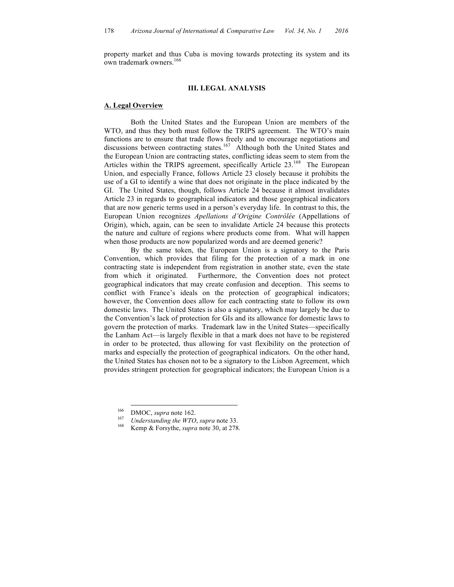property market and thus Cuba is moving towards protecting its system and its own trademark owners.<sup>166</sup>

### **III. LEGAL ANALYSIS**

#### **A. Legal Overview**

Both the United States and the European Union are members of the WTO, and thus they both must follow the TRIPS agreement. The WTO's main functions are to ensure that trade flows freely and to encourage negotiations and discussions between contracting states.<sup>167</sup> Although both the United States and the European Union are contracting states, conflicting ideas seem to stem from the Articles within the TRIPS agreement, specifically Article 23.<sup>168</sup> The European Union, and especially France, follows Article 23 closely because it prohibits the use of a GI to identify a wine that does not originate in the place indicated by the GI. The United States, though, follows Article 24 because it almost invalidates Article 23 in regards to geographical indicators and those geographical indicators that are now generic terms used in a person's everyday life. In contrast to this, the European Union recognizes *Apellations d'Origine Contrôlée* (Appellations of Origin), which, again, can be seen to invalidate Article 24 because this protects the nature and culture of regions where products come from. What will happen when those products are now popularized words and are deemed generic?

By the same token, the European Union is a signatory to the Paris Convention, which provides that filing for the protection of a mark in one contracting state is independent from registration in another state, even the state from which it originated. Furthermore, the Convention does not protect geographical indicators that may create confusion and deception. This seems to conflict with France's ideals on the protection of geographical indicators; however, the Convention does allow for each contracting state to follow its own domestic laws. The United States is also a signatory, which may largely be due to the Convention's lack of protection for GIs and its allowance for domestic laws to govern the protection of marks. Trademark law in the United States—specifically the Lanham Act—is largely flexible in that a mark does not have to be registered in order to be protected, thus allowing for vast flexibility on the protection of marks and especially the protection of geographical indicators. On the other hand, the United States has chosen not to be a signatory to the Lisbon Agreement, which provides stringent protection for geographical indicators; the European Union is a

<sup>&</sup>lt;sup>166</sup> DMOC, *supra* note 162.<br><sup>167</sup> *Understanding the WTO*, *supra* note 33.<br>Kemp & Forsythe, *supra* note 30, at 278.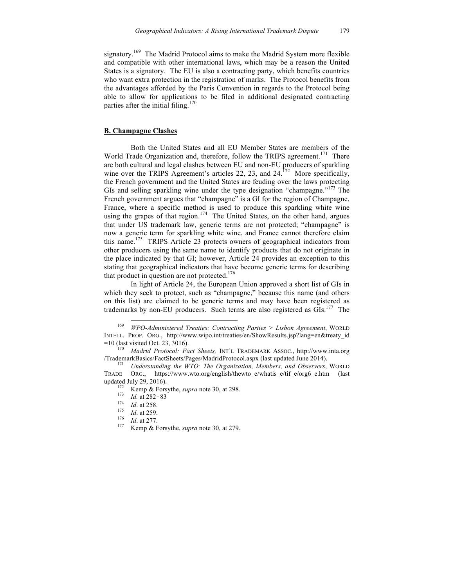signatory.<sup>169</sup> The Madrid Protocol aims to make the Madrid System more flexible and compatible with other international laws, which may be a reason the United States is a signatory. The EU is also a contracting party, which benefits countries who want extra protection in the registration of marks. The Protocol benefits from the advantages afforded by the Paris Convention in regards to the Protocol being able to allow for applications to be filed in additional designated contracting parties after the initial filing.<sup>170</sup>

### **B. Champagne Clashes**

Both the United States and all EU Member States are members of the World Trade Organization and, therefore, follow the TRIPS agreement.<sup>171</sup> There are both cultural and legal clashes between EU and non-EU producers of sparkling wine over the TRIPS Agreement's articles 22, 23, and  $24$ .<sup>172</sup> More specifically, the French government and the United States are feuding over the laws protecting GIs and selling sparkling wine under the type designation "champagne."<sup>173</sup> The French government argues that "champagne" is a GI for the region of Champagne, France, where a specific method is used to produce this sparkling white wine using the grapes of that region.<sup>174</sup> The United States, on the other hand, argues that under US trademark law, generic terms are not protected; "champagne" is now a generic term for sparkling white wine, and France cannot therefore claim this name.<sup>175</sup> TRIPS Article 23 protects owners of geographical indicators from other producers using the same name to identify products that do not originate in the place indicated by that GI; however, Article 24 provides an exception to this stating that geographical indicators that have become generic terms for describing that product in question are not protected. $176$ 

In light of Article 24, the European Union approved a short list of GIs in which they seek to protect, such as "champagne," because this name (and others on this list) are claimed to be generic terms and may have been registered as trademarks by non-EU producers. Such terms are also registered as GIs.<sup>177</sup> The

 <sup>169</sup> *WPO-Administered Treaties: Contracting Parties > Lisbon Agreement*, WORLD INTELL. PROP. ORG., http://www.wipo.int/treaties/en/ShowResults.jsp?lang=en&treaty\_id

<sup>&</sup>lt;sup>170</sup> Madrid Protocol: Fact Sheets, INT'L TRADEMARK ASSOC., http://www.inta.org /TrademarkBasics/FactSheets/Pages/MadridProtocol.aspx (last updated June 2014). <sup>171</sup> *Understanding the WTO: The Organization, Members, and Observers*, WORLD

TRADE ORG., https://www.wto.org/english/thewto\_e/whatis\_e/tif\_e/org6\_e.htm (last updated July 29, 2016).<br><sup>172</sup> Kemp & Forsythe, *supra* note 30, at 298.<br><sup>173</sup> *Id.* at 282-83<br><sup>174</sup> *Id.* at 258

<sup>174</sup> *Id.* at 258.<br>
175 *Id.* at 259.<br>
176 *Id.* at 277.<br>
177 Kemp & Forsythe, *supra* note 30, at 279.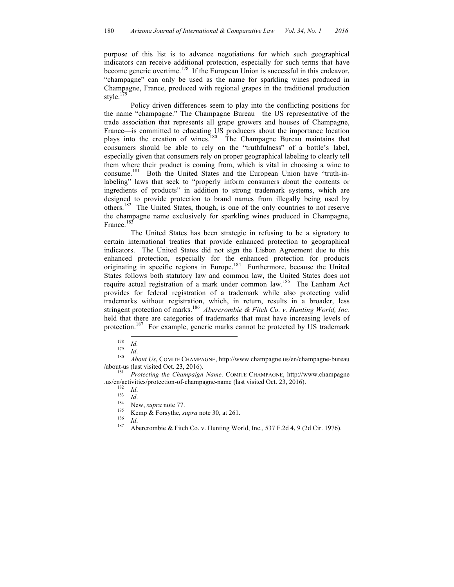purpose of this list is to advance negotiations for which such geographical indicators can receive additional protection, especially for such terms that have become generic overtime.<sup>178</sup> If the European Union is successful in this endeavor, "champagne" can only be used as the name for sparkling wines produced in Champagne, France, produced with regional grapes in the traditional production style.<sup>179</sup>

Policy driven differences seem to play into the conflicting positions for the name "champagne." The Champagne Bureau—the US representative of the trade association that represents all grape growers and houses of Champagne, France—is committed to educating US producers about the importance location plays into the creation of wines.<sup>180</sup> The Champagne Bureau maintains that consumers should be able to rely on the "truthfulness" of a bottle's label, especially given that consumers rely on proper geographical labeling to clearly tell them where their product is coming from, which is vital in choosing a wine to consume. 181 Both the United States and the European Union have "truth-inlabeling" laws that seek to "properly inform consumers about the contents or ingredients of products" in addition to strong trademark systems, which are designed to provide protection to brand names from illegally being used by others.182 The United States, though, is one of the only countries to not reserve the champagne name exclusively for sparkling wines produced in Champagne, France.<sup>183</sup>

The United States has been strategic in refusing to be a signatory to certain international treaties that provide enhanced protection to geographical indicators. The United States did not sign the Lisbon Agreement due to this enhanced protection, especially for the enhanced protection for products originating in specific regions in Europe.<sup>184</sup> Furthermore, because the United States follows both statutory law and common law, the United States does not require actual registration of a mark under common law.<sup>185</sup> The Lanham Act provides for federal registration of a trademark while also protecting valid trademarks without registration, which, in return, results in a broader, less stringent protection of marks. 186 *Abercrombie & Fitch Co. v. Hunting World, Inc.* held that there are categories of trademarks that must have increasing levels of protection.<sup>187</sup> For example, generic marks cannot be protected by US trademark

<sup>178</sup> *Id.* <sup>179</sup> *Id*. <sup>180</sup> *About Us*, COMITE CHAMPAGNE, http://www.champagne.us/en/champagne-bureau /about-us (last visited Oct. 23, 2016). <sup>181</sup> *Protecting the Champaign Name,* COMITE CHAMPAGNE, http://www.champagne

Lus/en/activities/protection-of-champagne-name (last visited Oct. 23, 2016).<br>
<sup>182</sup> *Id.*<br>
<sup>183</sup> *Id.*<br>
<sup>184</sup> New, *supra* note 77.<br>
<sup>185</sup> Kemp & Forsythe, *supra* note 30, at 261.<br>
<sup>186</sup> *Id.*<br>
<sup>186</sup> *Id.*<br>
<sup>187</sup> Abercro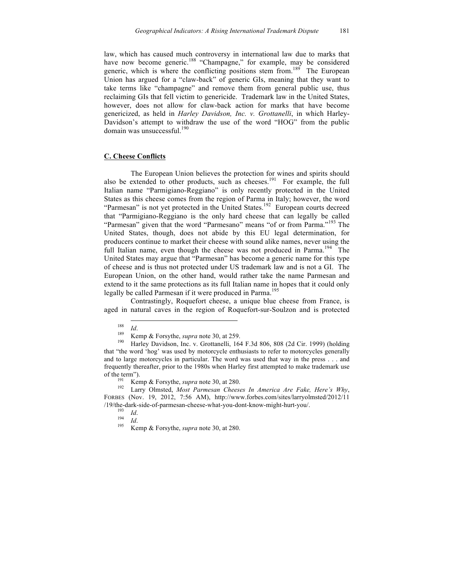law, which has caused much controversy in international law due to marks that have now become generic.<sup>188</sup> "Champagne," for example, may be considered generic, which is where the conflicting positions stem from.<sup>189</sup> The European Union has argued for a "claw-back" of generic GIs, meaning that they want to take terms like "champagne" and remove them from general public use, thus reclaiming GIs that fell victim to genericide. Trademark law in the United States, however, does not allow for claw-back action for marks that have become genericized, as held in *Harley Davidson, Inc. v. Grottanelli*, in which Harley-Davidson's attempt to withdraw the use of the word "HOG" from the public domain was unsuccessful. 190

#### **C. Cheese Conflicts**

The European Union believes the protection for wines and spirits should also be extended to other products, such as cheeses.<sup>191</sup> For example, the full Italian name "Parmigiano-Reggiano" is only recently protected in the United States as this cheese comes from the region of Parma in Italy; however, the word "Parmesan" is not yet protected in the United States.<sup>192</sup> European courts decreed that "Parmigiano-Reggiano is the only hard cheese that can legally be called "Parmesan" given that the word "Parmesano" means "of or from Parma."<sup>193</sup> The United States, though, does not abide by this EU legal determination, for producers continue to market their cheese with sound alike names, never using the full Italian name, even though the cheese was not produced in Parma.<sup>194</sup> The United States may argue that "Parmesan" has become a generic name for this type of cheese and is thus not protected under US trademark law and is not a GI. The European Union, on the other hand, would rather take the name Parmesan and extend to it the same protections as its full Italian name in hopes that it could only legally be called Parmesan if it were produced in Parma. 195

Contrastingly, Roquefort cheese, a unique blue cheese from France, is aged in natural caves in the region of Roquefort-sur-Soulzon and is protected

<sup>188</sup> *Id.*<br><sup>189</sup> Kemp & Forsythe, *supra* note 30, at 259.<br><sup>190</sup> Harley Davidson, Inc. v. Grottanelli, 164 F.3d 806, 808 (2d Cir. 1999) (holding that "the word 'hog' was used by motorcycle enthusiasts to refer to motorcycles generally and to large motorcycles in particular. The word was used that way in the press . . . and frequently thereafter, prior to the 1980s when Harley first attempted to make trademark use of the term").<br><sup>191</sup> Kemp & Forsythe, *supra* note 30, at 280.<br><sup>192</sup> Larry Olmsted, *Most Parmesan Cheeses In America Are Fake, Here's Why*,

FORBES (Nov. 19, 2012, 7:56 AM), http://www.forbes.com/sites/larryolmsted/2012/11 /19/the-dark-side-of-parmesan-cheese-what-you-dont-know-might-hurt-you/. 193 *Id*. <sup>194</sup> *Id*. <sup>195</sup> Kemp & Forsythe, *supra* note 30, at 280.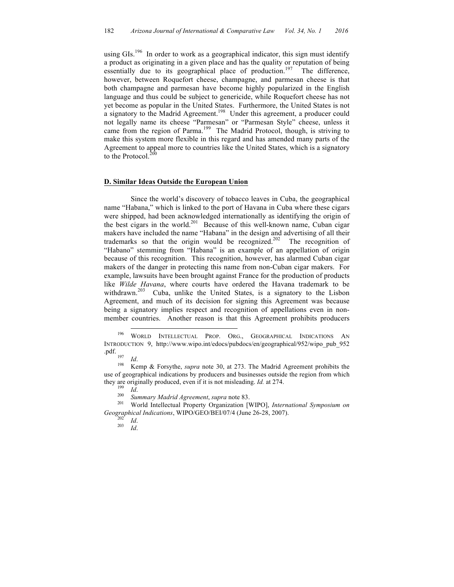using GIs.<sup>196</sup> In order to work as a geographical indicator, this sign must identify a product as originating in a given place and has the quality or reputation of being essentially due to its geographical place of production.<sup>197</sup> The difference, however, between Roquefort cheese, champagne, and parmesan cheese is that both champagne and parmesan have become highly popularized in the English language and thus could be subject to genericide, while Roquefort cheese has not yet become as popular in the United States. Furthermore, the United States is not a signatory to the Madrid Agreement.<sup>198</sup> Under this agreement, a producer could not legally name its cheese "Parmesan" or "Parmesan Style" cheese, unless it came from the region of Parma.<sup>199</sup> The Madrid Protocol, though, is striving to make this system more flexible in this regard and has amended many parts of the Agreement to appeal more to countries like the United States, which is a signatory to the Protocol. $200$ 

### **D. Similar Ideas Outside the European Union**

Since the world's discovery of tobacco leaves in Cuba, the geographical name "Habana," which is linked to the port of Havana in Cuba where these cigars were shipped, had been acknowledged internationally as identifying the origin of the best cigars in the world. 201 Because of this well-known name, Cuban cigar makers have included the name "Habana" in the design and advertising of all their trademarks so that the origin would be recognized.<sup>202</sup> The recognition of "Habano" stemming from "Habana" is an example of an appellation of origin because of this recognition. This recognition, however, has alarmed Cuban cigar makers of the danger in protecting this name from non-Cuban cigar makers. For example, lawsuits have been brought against France for the production of products like *Wilde Havana*, where courts have ordered the Havana trademark to be withdrawn.<sup>203</sup> Cuba, unlike the United States, is a signatory to the Lisbon Agreement, and much of its decision for signing this Agreement was because being a signatory implies respect and recognition of appellations even in nonmember countries. Another reason is that this Agreement prohibits producers

*Geographical Indications*, WIPO/GEO/BEI/07/4 (June 26-28, 2007).<br><sup>202</sup>*Id.* 203 *Id.* 

 <sup>196</sup> WORLD INTELLECTUAL PROP. ORG., GEOGRAPHICAL INDICATIONS AN INTRODUCTION 9, http://www.wipo.int/edocs/pubdocs/en/geographical/952/wipo\_pub\_952

<sup>&</sup>lt;sup>197</sup> *Id.* Kemp & Forsythe, *supra* note 30, at 273. The Madrid Agreement prohibits the use of geographical indications by producers and businesses outside the region from which they are originally produced, even if it is not misleading. *Id.* at 274.<br><sup>199</sup> *Id.*<br><sup>200</sup> *Summary Madrid Agreement, supra* note 83.<br><sup>201</sup> World Intellectual Property Organization [WIPO], *International Symposium on*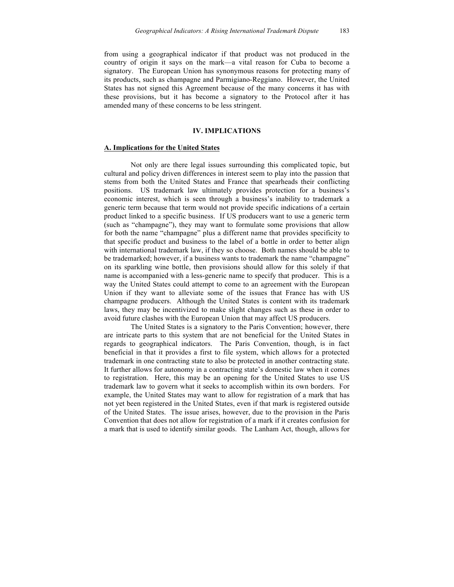from using a geographical indicator if that product was not produced in the country of origin it says on the mark—a vital reason for Cuba to become a signatory. The European Union has synonymous reasons for protecting many of its products, such as champagne and Parmigiano-Reggiano. However, the United States has not signed this Agreement because of the many concerns it has with these provisions, but it has become a signatory to the Protocol after it has amended many of these concerns to be less stringent.

### **IV. IMPLICATIONS**

# **A. Implications for the United States**

Not only are there legal issues surrounding this complicated topic, but cultural and policy driven differences in interest seem to play into the passion that stems from both the United States and France that spearheads their conflicting positions. US trademark law ultimately provides protection for a business's economic interest, which is seen through a business's inability to trademark a generic term because that term would not provide specific indications of a certain product linked to a specific business. If US producers want to use a generic term (such as "champagne"), they may want to formulate some provisions that allow for both the name "champagne" plus a different name that provides specificity to that specific product and business to the label of a bottle in order to better align with international trademark law, if they so choose. Both names should be able to be trademarked; however, if a business wants to trademark the name "champagne" on its sparkling wine bottle, then provisions should allow for this solely if that name is accompanied with a less-generic name to specify that producer. This is a way the United States could attempt to come to an agreement with the European Union if they want to alleviate some of the issues that France has with US champagne producers. Although the United States is content with its trademark laws, they may be incentivized to make slight changes such as these in order to avoid future clashes with the European Union that may affect US producers.

The United States is a signatory to the Paris Convention; however, there are intricate parts to this system that are not beneficial for the United States in regards to geographical indicators. The Paris Convention, though, is in fact beneficial in that it provides a first to file system, which allows for a protected trademark in one contracting state to also be protected in another contracting state. It further allows for autonomy in a contracting state's domestic law when it comes to registration. Here, this may be an opening for the United States to use US trademark law to govern what it seeks to accomplish within its own borders. For example, the United States may want to allow for registration of a mark that has not yet been registered in the United States, even if that mark is registered outside of the United States. The issue arises, however, due to the provision in the Paris Convention that does not allow for registration of a mark if it creates confusion for a mark that is used to identify similar goods. The Lanham Act, though, allows for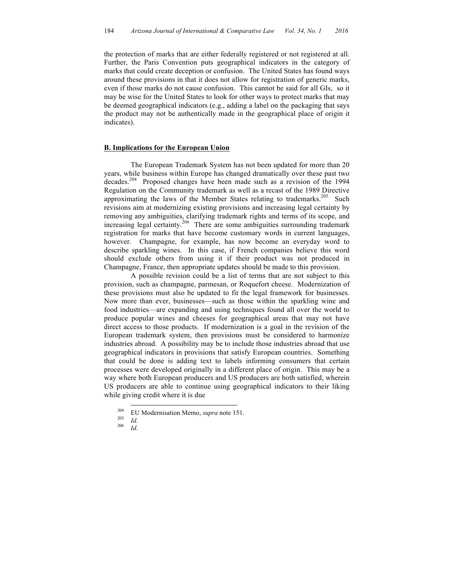the protection of marks that are either federally registered or not registered at all. Further, the Paris Convention puts geographical indicators in the category of marks that could create deception or confusion. The United States has found ways around these provisions in that it does not allow for registration of generic marks, even if those marks do not cause confusion. This cannot be said for all GIs, so it may be wise for the United States to look for other ways to protect marks that may be deemed geographical indicators (e.g., adding a label on the packaging that says the product may not be authentically made in the geographical place of origin it indicates).

#### **B. Implications for the European Union**

The European Trademark System has not been updated for more than 20 years, while business within Europe has changed dramatically over these past two decades.204 Proposed changes have been made such as a revision of the 1994 Regulation on the Community trademark as well as a recast of the 1989 Directive approximating the laws of the Member States relating to trademarks.<sup>205</sup> Such revisions aim at modernizing existing provisions and increasing legal certainty by removing any ambiguities, clarifying trademark rights and terms of its scope, and increasing legal certainty.<sup>206</sup> There are some ambiguities surrounding trademark registration for marks that have become customary words in current languages, however. Champagne, for example, has now become an everyday word to describe sparkling wines. In this case, if French companies believe this word should exclude others from using it if their product was not produced in Champagne, France, then appropriate updates should be made to this provision.

A possible revision could be a list of terms that are not subject to this provision, such as champagne, parmesan, or Roquefort cheese. Modernization of these provisions must also be updated to fit the legal framework for businesses. Now more than ever, businesses—such as those within the sparkling wine and food industries—are expanding and using techniques found all over the world to produce popular wines and cheeses for geographical areas that may not have direct access to those products. If modernization is a goal in the revision of the European trademark system, then provisions must be considered to harmonize industries abroad. A possibility may be to include those industries abroad that use geographical indicators in provisions that satisfy European countries. Something that could be done is adding text to labels informing consumers that certain processes were developed originally in a different place of origin. This may be a way where both European producers and US producers are both satisfied, wherein US producers are able to continue using geographical indicators to their liking while giving credit where it is due

<sup>204</sup> EU Modernisation Memo, *supra* note 151. 205 *Id*. 206 *Id*.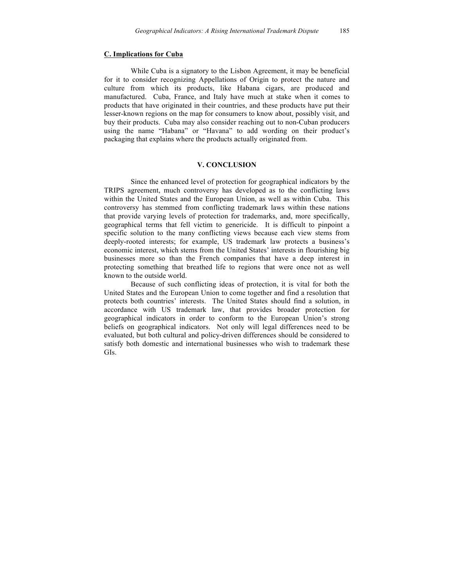### **C. Implications for Cuba**

While Cuba is a signatory to the Lisbon Agreement, it may be beneficial for it to consider recognizing Appellations of Origin to protect the nature and culture from which its products, like Habana cigars, are produced and manufactured. Cuba, France, and Italy have much at stake when it comes to products that have originated in their countries, and these products have put their lesser-known regions on the map for consumers to know about, possibly visit, and buy their products. Cuba may also consider reaching out to non-Cuban producers using the name "Habana" or "Havana" to add wording on their product's packaging that explains where the products actually originated from.

## **V. CONCLUSION**

Since the enhanced level of protection for geographical indicators by the TRIPS agreement, much controversy has developed as to the conflicting laws within the United States and the European Union, as well as within Cuba. This controversy has stemmed from conflicting trademark laws within these nations that provide varying levels of protection for trademarks, and, more specifically, geographical terms that fell victim to genericide. It is difficult to pinpoint a specific solution to the many conflicting views because each view stems from deeply-rooted interests; for example, US trademark law protects a business's economic interest, which stems from the United States' interests in flourishing big businesses more so than the French companies that have a deep interest in protecting something that breathed life to regions that were once not as well known to the outside world.

Because of such conflicting ideas of protection, it is vital for both the United States and the European Union to come together and find a resolution that protects both countries' interests. The United States should find a solution, in accordance with US trademark law, that provides broader protection for geographical indicators in order to conform to the European Union's strong beliefs on geographical indicators. Not only will legal differences need to be evaluated, but both cultural and policy-driven differences should be considered to satisfy both domestic and international businesses who wish to trademark these GIs.